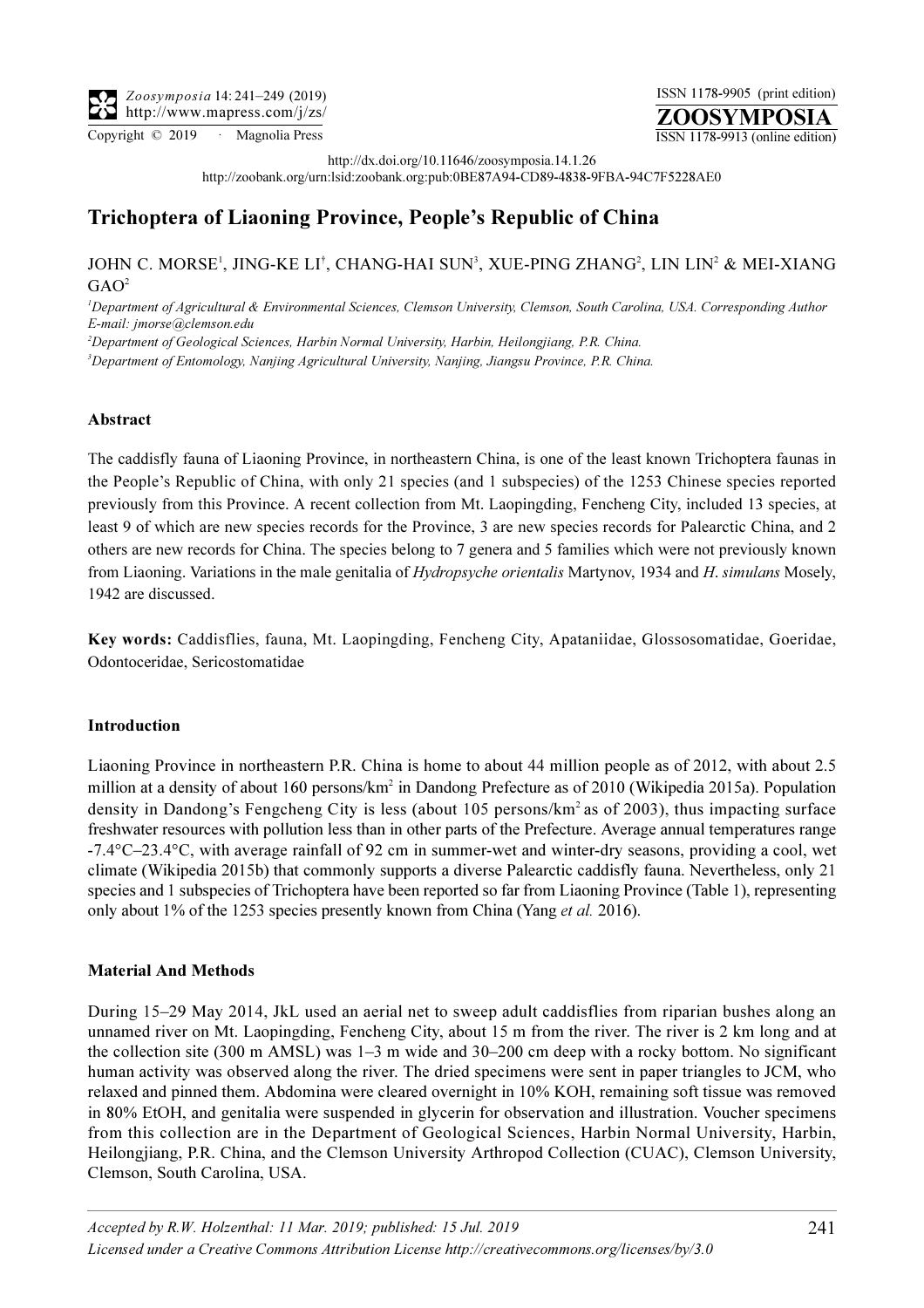Copyright © 2019 · Magnolia Press ISSN 1178-9913 (online edition)

http://dx.doi.org/10.11646/zoosymposia.14.1.26

ZOOSYMPOSIA ISSN 1178-9905 (print edition)

http://zoobank.org/urn:lsid:zoobank.org:pub:0BE87A94-CD89-4838-9FBA-94C7F5228AE0

# Trichoptera of Liaoning Province, People's Republic of China

JOHN C. MORSE<sup>1</sup>, JING-KE LI<sup>†</sup>, CHANG-HAI SUN<sup>3</sup>, XUE-PING ZHANG<sup>2</sup>, LIN LIN<sup>2</sup> & MEI-XIANG  $GAO<sup>2</sup>$ 

<sup>1</sup>Department of Agricultural & Environmental Sciences, Clemson University, Clemson, South Carolina, USA. Corresponding Author E-mail: [jmorse@clemson.edu](mailto:jmorse@clemson.edu)

<sup>2</sup>Department of Geological Sciences, Harbin Normal University, Harbin, Heilongjiang, P.R. China.

<sup>3</sup>Department of Entomology, Nanjing Agricultural University, Nanjing, Jiangsu Province, P.R. China.

### Abstract

The caddisfly fauna of Liaoning Province, in northeastern China, is one of the least known Trichoptera faunas in the People's Republic of China, with only 21 species (and 1 subspecies) of the 1253 Chinese species reported previously from this Province. A recent collection from Mt. Laopingding, Fencheng City, included 13 species, at least 9 of which are new species records for the Province, 3 are new species records for Palearctic China, and 2 others are new records for China. The species belong to 7 genera and 5 families which were not previously known from Liaoning. Variations in the male genitalia of Hydropsyche orientalis Martynov, 1934 and H. simulans Mosely, 1942 are discussed.

Key words: Caddisflies, fauna, Mt. Laopingding, Fencheng City, Apataniidae, Glossosomatidae, Goeridae, Odontoceridae, Sericostomatidae

#### Introduction

Liaoning Province in northeastern P.R. China is home to about 44 million people as of 2012, with about 2.5 million at a density of about 160 persons/km<sup>2</sup> in Dandong Prefecture as of 2010 (Wikipedia 2015a). Population density in Dandong's Fengcheng City is less (about 105 persons/km<sup>2</sup> as of 2003), thus impacting surface freshwater resources with pollution less than in other parts of the Prefecture. Average annual temperatures range -7.4°C–23.4°C, with average rainfall of 92 cm in summer-wet and winter-dry seasons, providing a cool, wet climate (Wikipedia 2015b) that commonly supports a diverse Palearctic caddisfly fauna. Nevertheless, only 21 species and 1 subspecies of Trichoptera have been reported so far from Liaoning Province (Table 1), representing only about 1% of the 1253 species presently known from China (Yang et al. 2016).

#### Material And Methods

During 15–29 May 2014, JkL used an aerial net to sweep adult caddisflies from riparian bushes along an unnamed river on Mt. Laopingding, Fencheng City, about 15 m from the river. The river is 2 km long and at the collection site (300 m AMSL) was 1–3 m wide and 30–200 cm deep with a rocky bottom. No significant human activity was observed along the river. The dried specimens were sent in paper triangles to JCM, who relaxed and pinned them. Abdomina were cleared overnight in 10% KOH, remaining soft tissue was removed in 80% EtOH, and genitalia were suspended in glycerin for observation and illustration. Voucher specimens from this collection are in the Department of Geological Sciences, Harbin Normal University, Harbin, Heilongjiang, P.R. China, and the Clemson University Arthropod Collection (CUAC), Clemson University, Clemson, South Carolina, USA.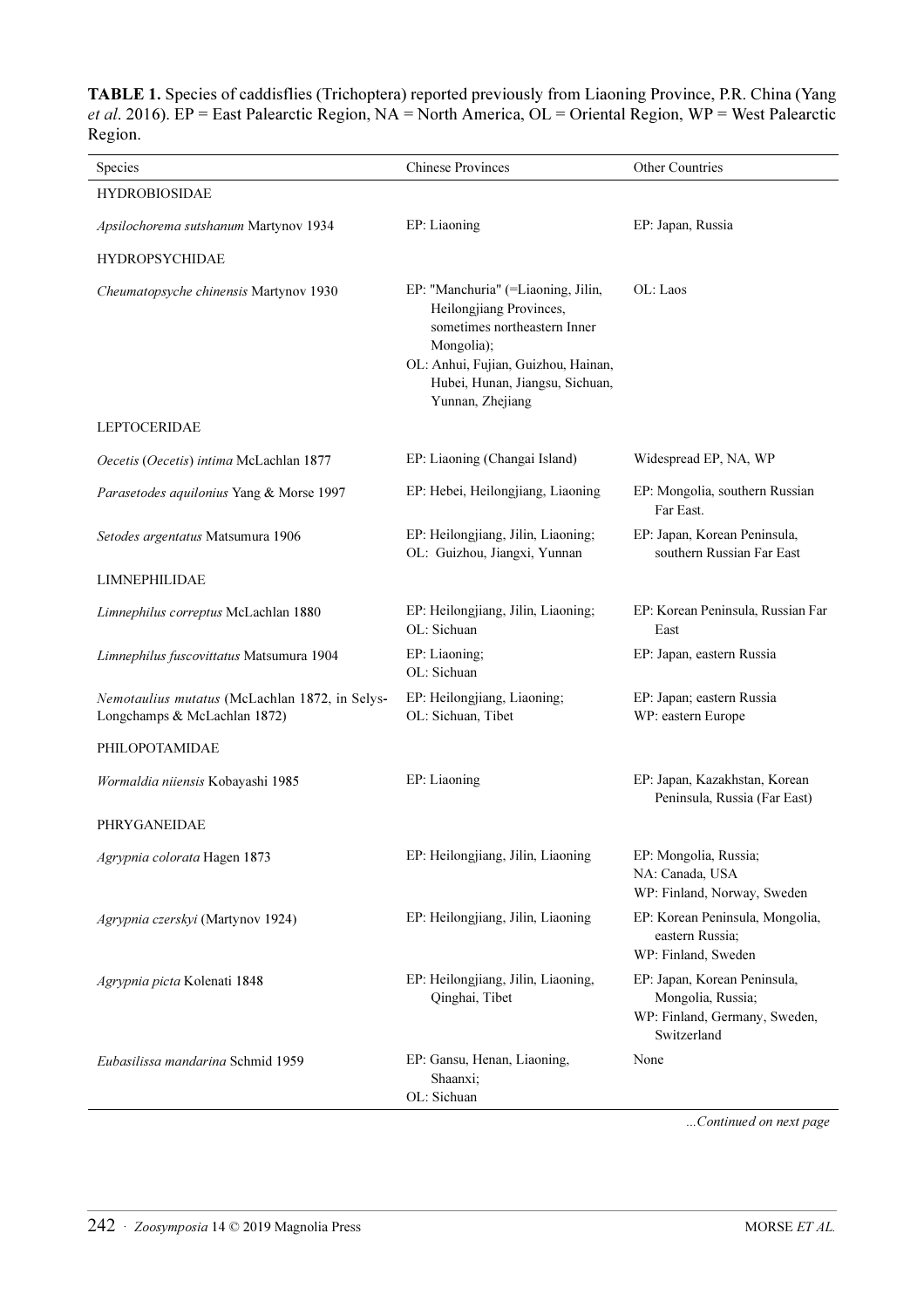TABLE 1. Species of caddisflies (Trichoptera) reported previously from Liaoning Province, P.R. China (Yang et al. 2016). EP = East Palearctic Region, NA = North America, OL = Oriental Region, WP = West Palearctic Region.

| Species                                                                        | <b>Chinese Provinces</b><br>Other Countries                                                                                                                                                               |                                                                                                   |
|--------------------------------------------------------------------------------|-----------------------------------------------------------------------------------------------------------------------------------------------------------------------------------------------------------|---------------------------------------------------------------------------------------------------|
| <b>HYDROBIOSIDAE</b>                                                           |                                                                                                                                                                                                           |                                                                                                   |
| Apsilochorema sutshanum Martynov 1934                                          | EP: Liaoning                                                                                                                                                                                              | EP: Japan, Russia                                                                                 |
| <b>HYDROPSYCHIDAE</b>                                                          |                                                                                                                                                                                                           |                                                                                                   |
| Cheumatopsyche chinensis Martynov 1930                                         | EP: "Manchuria" (=Liaoning, Jilin,<br>Heilongjiang Provinces,<br>sometimes northeastern Inner<br>Mongolia);<br>OL: Anhui, Fujian, Guizhou, Hainan,<br>Hubei, Hunan, Jiangsu, Sichuan,<br>Yunnan, Zhejiang | OL: Laos                                                                                          |
| <b>LEPTOCERIDAE</b>                                                            |                                                                                                                                                                                                           |                                                                                                   |
| Oecetis (Oecetis) intima McLachlan 1877                                        | EP: Liaoning (Changai Island)                                                                                                                                                                             | Widespread EP, NA, WP                                                                             |
| Parasetodes aquilonius Yang & Morse 1997                                       | EP: Hebei, Heilongjiang, Liaoning                                                                                                                                                                         | EP: Mongolia, southern Russian<br>Far East.                                                       |
| Setodes argentatus Matsumura 1906                                              | EP: Heilongjiang, Jilin, Liaoning;<br>OL: Guizhou, Jiangxi, Yunnan                                                                                                                                        | EP: Japan, Korean Peninsula,<br>southern Russian Far East                                         |
| <b>LIMNEPHILIDAE</b>                                                           |                                                                                                                                                                                                           |                                                                                                   |
| Limnephilus correptus McLachlan 1880                                           | EP: Heilongjiang, Jilin, Liaoning;<br>OL: Sichuan                                                                                                                                                         | EP: Korean Peninsula, Russian Far<br>East                                                         |
| Limnephilus fuscovittatus Matsumura 1904                                       | EP: Liaoning;<br>OL: Sichuan                                                                                                                                                                              | EP: Japan, eastern Russia                                                                         |
| Nemotaulius mutatus (McLachlan 1872, in Selys-<br>Longchamps & McLachlan 1872) | EP: Heilongjiang, Liaoning;<br>OL: Sichuan, Tibet                                                                                                                                                         | EP: Japan; eastern Russia<br>WP: eastern Europe                                                   |
| PHILOPOTAMIDAE                                                                 |                                                                                                                                                                                                           |                                                                                                   |
| Wormaldia niiensis Kobayashi 1985                                              | EP: Liaoning                                                                                                                                                                                              | EP: Japan, Kazakhstan, Korean<br>Peninsula, Russia (Far East)                                     |
| PHRYGANEIDAE                                                                   |                                                                                                                                                                                                           |                                                                                                   |
| Agrypnia colorata Hagen 1873                                                   | EP: Heilongjiang, Jilin, Liaoning                                                                                                                                                                         | EP: Mongolia, Russia;<br>NA: Canada, USA<br>WP: Finland, Norway, Sweden                           |
| Agrypnia czerskyi (Martynov 1924)                                              | EP: Heilongjiang, Jilin, Liaoning                                                                                                                                                                         | EP: Korean Peninsula, Mongolia,<br>eastern Russia;<br>WP: Finland, Sweden                         |
| Agrypnia picta Kolenati 1848                                                   | EP: Heilongjiang, Jilin, Liaoning,<br>Qinghai, Tibet                                                                                                                                                      | EP: Japan, Korean Peninsula,<br>Mongolia, Russia;<br>WP: Finland, Germany, Sweden,<br>Switzerland |
| Eubasilissa mandarina Schmid 1959                                              | EP: Gansu, Henan, Liaoning,<br>Shaanxi;<br>OL: Sichuan                                                                                                                                                    | None                                                                                              |

...Continued on next page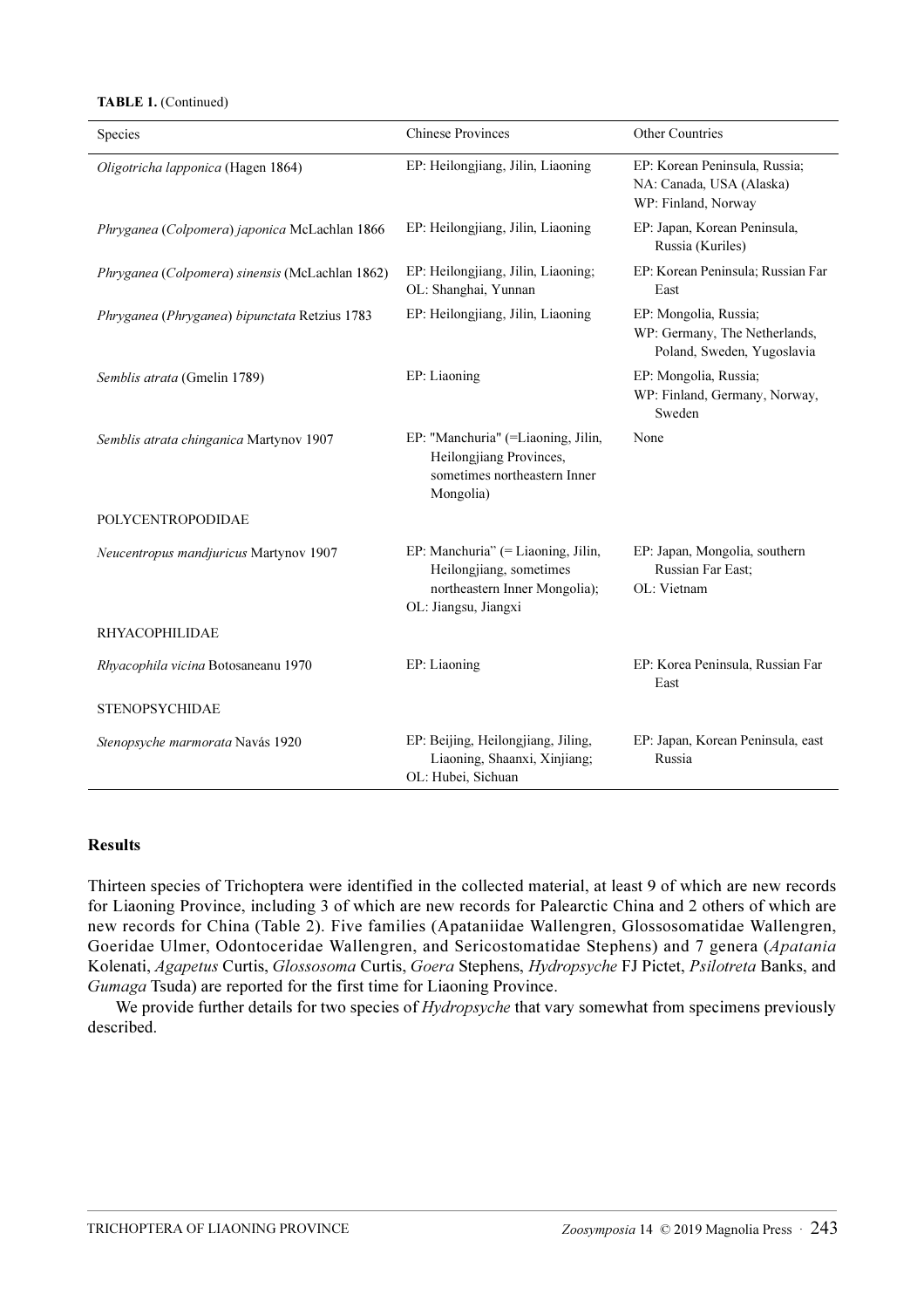#### TABLE 1. (Continued)

| Species                                         | <b>Chinese Provinces</b>                                                                                               | <b>Other Countries</b>                                                               |
|-------------------------------------------------|------------------------------------------------------------------------------------------------------------------------|--------------------------------------------------------------------------------------|
| Oligotricha lapponica (Hagen 1864)              | EP: Heilongjiang, Jilin, Liaoning                                                                                      | EP: Korean Peninsula, Russia;<br>NA: Canada, USA (Alaska)<br>WP: Finland, Norway     |
| Phryganea (Colpomera) japonica McLachlan 1866   | EP: Heilongjiang, Jilin, Liaoning                                                                                      | EP: Japan, Korean Peninsula,<br>Russia (Kuriles)                                     |
| Phryganea (Colpomera) sinensis (McLachlan 1862) | EP: Heilongjiang, Jilin, Liaoning;<br>OL: Shanghai, Yunnan                                                             | EP: Korean Peninsula; Russian Far<br>East                                            |
| Phryganea (Phryganea) bipunctata Retzius 1783   | EP: Heilongjiang, Jilin, Liaoning                                                                                      | EP: Mongolia, Russia;<br>WP: Germany, The Netherlands,<br>Poland, Sweden, Yugoslavia |
| Semblis atrata (Gmelin 1789)                    | EP: Liaoning                                                                                                           | EP: Mongolia, Russia;<br>WP: Finland, Germany, Norway,<br>Sweden                     |
| Semblis atrata chinganica Martynov 1907         | EP: "Manchuria" (=Liaoning, Jilin,<br>Heilongjiang Provinces,<br>sometimes northeastern Inner<br>Mongolia)             | None                                                                                 |
| POLYCENTROPODIDAE                               |                                                                                                                        |                                                                                      |
| Neucentropus mandjuricus Martynov 1907          | EP: Manchuria" (= Liaoning, Jilin,<br>Heilongjiang, sometimes<br>northeastern Inner Mongolia);<br>OL: Jiangsu, Jiangxi | EP: Japan, Mongolia, southern<br>Russian Far East;<br>OL: Vietnam                    |
| <b>RHYACOPHILIDAE</b>                           |                                                                                                                        |                                                                                      |
| Rhyacophila vicina Botosaneanu 1970             | EP: Liaoning                                                                                                           | EP: Korea Peninsula, Russian Far<br>East                                             |
| <b>STENOPSYCHIDAE</b>                           |                                                                                                                        |                                                                                      |
| Stenopsyche marmorata Navás 1920                | EP: Beijing, Heilongjiang, Jiling,<br>Liaoning, Shaanxi, Xinjiang;<br>OL: Hubei, Sichuan                               | EP: Japan, Korean Peninsula, east<br>Russia                                          |

#### Results

Thirteen species of Trichoptera were identified in the collected material, at least 9 of which are new records for Liaoning Province, including 3 of which are new records for Palearctic China and 2 others of which are new records for China (Table 2). Five families (Apataniidae Wallengren, Glossosomatidae Wallengren, Goeridae Ulmer, Odontoceridae Wallengren, and Sericostomatidae Stephens) and 7 genera (Apatania Kolenati, Agapetus Curtis, Glossosoma Curtis, Goera Stephens, Hydropsyche FJ Pictet, Psilotreta Banks, and Gumaga Tsuda) are reported for the first time for Liaoning Province.

We provide further details for two species of *Hydropsyche* that vary somewhat from specimens previously described.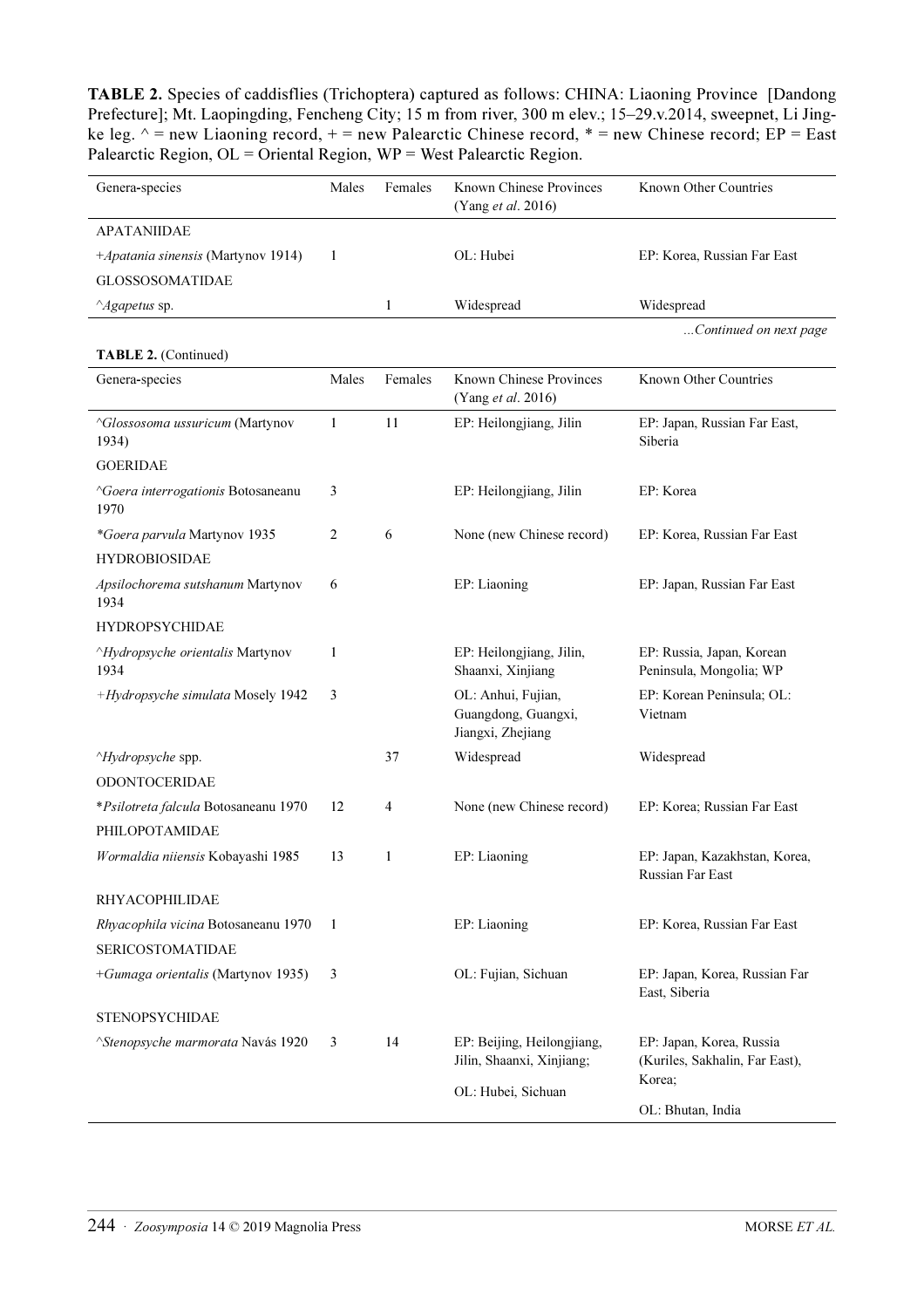TABLE 2. Species of caddisflies (Trichoptera) captured as follows: CHINA: Liaoning Province [Dandong Prefecture]; Mt. Laopingding, Fencheng City; 15 m from river, 300 m elev.; 15–29.v.2014, sweepnet, Li Jingke leg.  $\land$  = new Liaoning record, + = new Palearctic Chinese record, \* = new Chinese record; EP = East Palearctic Region, OL = Oriental Region, WP = West Palearctic Region.

| Genera-species                                           | Males | Females      | Known Chinese Provinces<br>(Yang et al. 2016)                  | Known Other Countries                                                |
|----------------------------------------------------------|-------|--------------|----------------------------------------------------------------|----------------------------------------------------------------------|
| <b>APATANIIDAE</b>                                       |       |              |                                                                |                                                                      |
| +Apatania sinensis (Martynov 1914)                       | 1     |              | OL: Hubei                                                      | EP: Korea, Russian Far East                                          |
| <b>GLOSSOSOMATIDAE</b>                                   |       |              |                                                                |                                                                      |
| $^{\wedge}$ Agapetus sp.                                 |       | $\mathbf{1}$ | Widespread                                                     | Widespread                                                           |
|                                                          |       |              |                                                                | Continued on next page                                               |
| TABLE 2. (Continued)                                     |       |              |                                                                |                                                                      |
| Genera-species                                           | Males | Females      | Known Chinese Provinces<br>(Yang et al. 2016)                  | Known Other Countries                                                |
| <i><u>AGlossosoma ussuricum</u></i> (Martynov<br>1934)   | 1     | 11           | EP: Heilongjiang, Jilin                                        | EP: Japan, Russian Far East,<br>Siberia                              |
| <b>GOERIDAE</b>                                          |       |              |                                                                |                                                                      |
| <i><u>AGoera interrogationis Botosaneanu</u></i><br>1970 | 3     |              | EP: Heilongjiang, Jilin                                        | EP: Korea                                                            |
| *Goera parvula Martynov 1935<br><b>HYDROBIOSIDAE</b>     | 2     | 6            | None (new Chinese record)                                      | EP: Korea, Russian Far East                                          |
| Apsilochorema sutshanum Martynov<br>1934                 | 6     |              | EP: Liaoning                                                   | EP: Japan, Russian Far East                                          |
| <b>HYDROPSYCHIDAE</b>                                    |       |              |                                                                |                                                                      |
| <i>AHydropsyche orientalis</i> Martynov<br>1934          | 1     |              | EP: Heilongjiang, Jilin,<br>Shaanxi, Xinjiang                  | EP: Russia, Japan, Korean<br>Peninsula, Mongolia; WP                 |
| +Hydropsyche simulata Mosely 1942                        | 3     |              | OL: Anhui, Fujian,<br>Guangdong, Guangxi,<br>Jiangxi, Zhejiang | EP: Korean Peninsula; OL:<br>Vietnam                                 |
| <i>Alydropsyche</i> spp.                                 |       | 37           | Widespread                                                     | Widespread                                                           |
| <b>ODONTOCERIDAE</b>                                     |       |              |                                                                |                                                                      |
| *Psilotreta falcula Botosaneanu 1970<br>PHILOPOTAMIDAE   | 12    | 4            | None (new Chinese record)                                      | EP: Korea; Russian Far East                                          |
| Wormaldia niiensis Kobayashi 1985                        | 13    | 1            | EP: Liaoning                                                   | EP: Japan, Kazakhstan, Korea,<br>Russian Far East                    |
| RHYACOPHILIDAE                                           |       |              |                                                                |                                                                      |
| Rhyacophila vicina Botosaneanu 1970                      | -1    |              | EP: Liaoning                                                   | EP: Korea, Russian Far East                                          |
| <b>SERICOSTOMATIDAE</b>                                  |       |              |                                                                |                                                                      |
| +Gumaga orientalis (Martynov 1935)                       | 3     |              | OL: Fujian, Sichuan                                            | EP: Japan, Korea, Russian Far<br>East, Siberia                       |
| <b>STENOPSYCHIDAE</b>                                    |       |              |                                                                |                                                                      |
| <sup>^</sup> Stenopsyche marmorata Navás 1920            | 3     | 14           | EP: Beijing, Heilongjiang,<br>Jilin, Shaanxi, Xinjiang;        | EP: Japan, Korea, Russia<br>(Kuriles, Sakhalin, Far East),<br>Korea; |
|                                                          |       |              | OL: Hubei, Sichuan                                             | OL: Bhutan, India                                                    |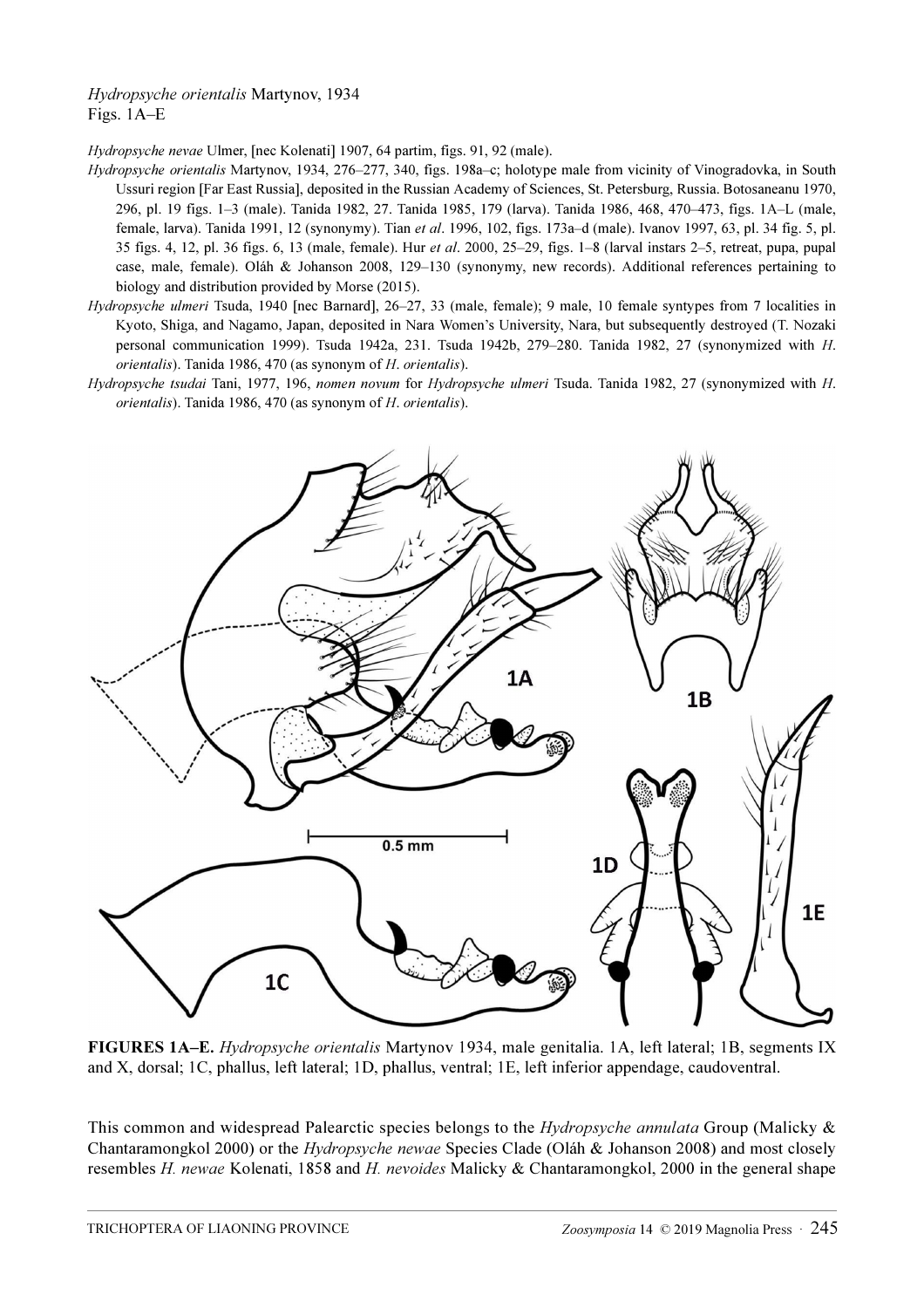## Hydropsyche orientalis Martynov, 1934 Figs. 1A–E

Hydropsyche nevae Ulmer, [nec Kolenati] 1907, 64 partim, figs. 91, 92 (male).

- Hydropsyche orientalis Martynov, 1934, 276–277, 340, figs. 198a–c; holotype male from vicinity of Vinogradovka, in South Ussuri region [Far East Russia], deposited in the Russian Academy of Sciences, St. Petersburg, Russia. Botosaneanu 1970, 296, pl. 19 figs. 1–3 (male). Tanida 1982, 27. Tanida 1985, 179 (larva). Tanida 1986, 468, 470–473, figs. 1A–L (male, female, larva). Tanida 1991, 12 (synonymy). Tian et al. 1996, 102, figs. 173a–d (male). Ivanov 1997, 63, pl. 34 fig. 5, pl. 35 figs. 4, 12, pl. 36 figs. 6, 13 (male, female). Hur et al. 2000, 25–29, figs. 1–8 (larval instars 2–5, retreat, pupa, pupal case, male, female). Oláh & Johanson 2008, 129–130 (synonymy, new records). Additional references pertaining to biology and distribution provided by Morse (2015).
- Hydropsyche ulmeri Tsuda, 1940 [nec Barnard], 26–27, 33 (male, female); 9 male, 10 female syntypes from 7 localities in Kyoto, Shiga, and Nagamo, Japan, deposited in Nara Women's University, Nara, but subsequently destroyed (T. Nozaki personal communication 1999). Tsuda 1942a, 231. Tsuda 1942b, 279–280. Tanida 1982, 27 (synonymized with H. orientalis). Tanida 1986, 470 (as synonym of H. orientalis).
- Hydropsyche tsudai Tani, 1977, 196, nomen novum for Hydropsyche ulmeri Tsuda. Tanida 1982, 27 (synonymized with H. orientalis). Tanida 1986, 470 (as synonym of H. orientalis).



FIGURES 1A–E. Hydropsyche orientalis Martynov 1934, male genitalia. 1A, left lateral; 1B, segments IX and X, dorsal; 1C, phallus, left lateral; 1D, phallus, ventral; 1E, left inferior appendage, caudoventral.

This common and widespread Palearctic species belongs to the *Hydropsyche annulata* Group (Malicky & Chantaramongkol 2000) or the Hydropsyche newae Species Clade (Oláh & Johanson 2008) and most closely resembles H. newae Kolenati, 1858 and H. nevoides Malicky & Chantaramongkol, 2000 in the general shape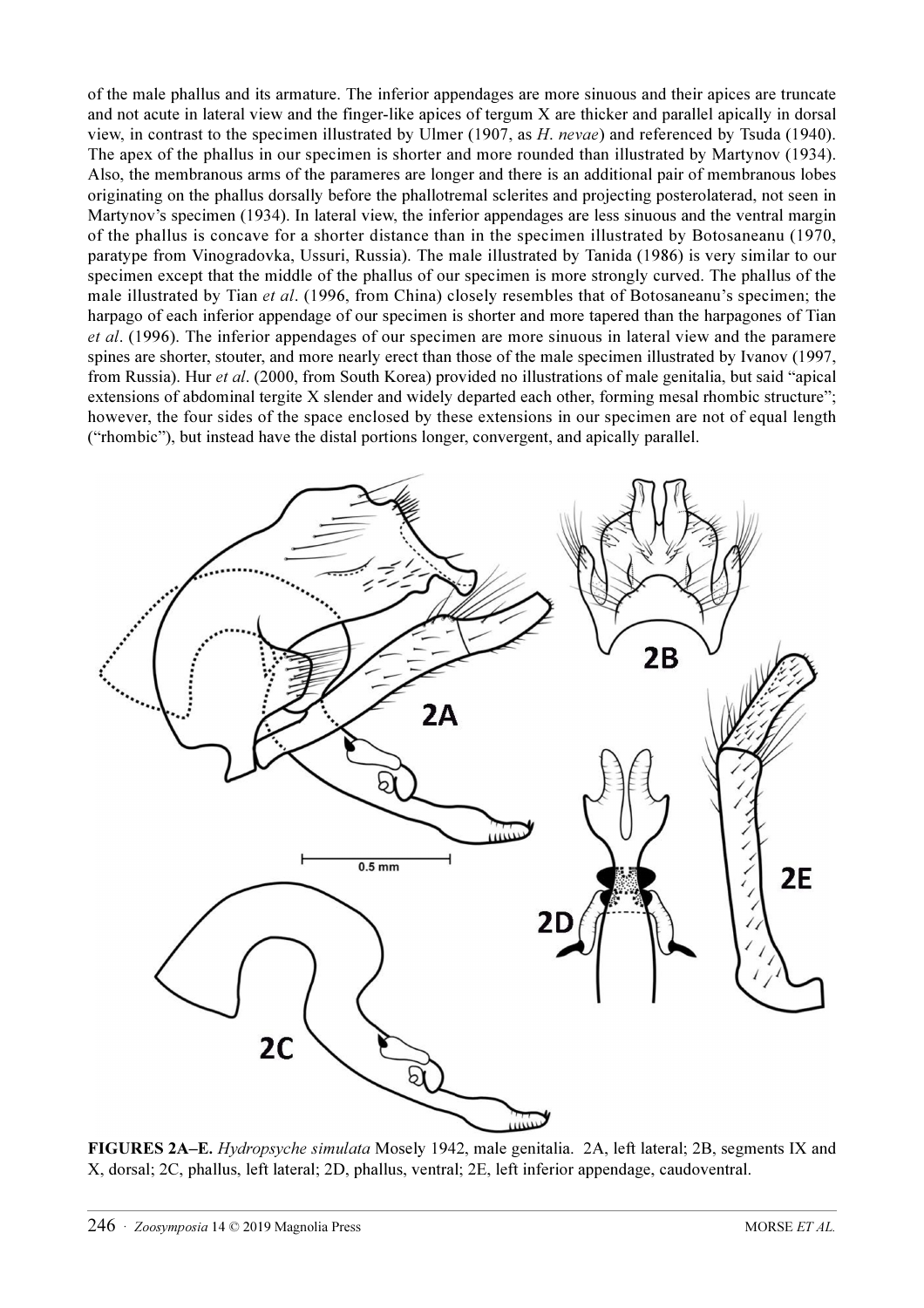of the male phallus and its armature. The inferior appendages are more sinuous and their apices are truncate and not acute in lateral view and the finger-like apices of tergum X are thicker and parallel apically in dorsal view, in contrast to the specimen illustrated by Ulmer (1907, as H. nevae) and referenced by Tsuda (1940). The apex of the phallus in our specimen is shorter and more rounded than illustrated by Martynov (1934). Also, the membranous arms of the parameres are longer and there is an additional pair of membranous lobes originating on the phallus dorsally before the phallotremal sclerites and projecting posterolaterad, not seen in Martynov's specimen (1934). In lateral view, the inferior appendages are less sinuous and the ventral margin of the phallus is concave for a shorter distance than in the specimen illustrated by Botosaneanu (1970, paratype from Vinogradovka, Ussuri, Russia). The male illustrated by Tanida (1986) is very similar to our specimen except that the middle of the phallus of our specimen is more strongly curved. The phallus of the male illustrated by Tian et al. (1996, from China) closely resembles that of Botosaneanu's specimen; the harpago of each inferior appendage of our specimen is shorter and more tapered than the harpagones of Tian et al. (1996). The inferior appendages of our specimen are more sinuous in lateral view and the paramere spines are shorter, stouter, and more nearly erect than those of the male specimen illustrated by Ivanov (1997, from Russia). Hur et al. (2000, from South Korea) provided no illustrations of male genitalia, but said "apical extensions of abdominal tergite X slender and widely departed each other, forming mesal rhombic structure"; however, the four sides of the space enclosed by these extensions in our specimen are not of equal length ("rhombic"), but instead have the distal portions longer, convergent, and apically parallel.



FIGURES 2A–E. Hydropsyche simulata Mosely 1942, male genitalia. 2A, left lateral; 2B, segments IX and X, dorsal; 2C, phallus, left lateral; 2D, phallus, ventral; 2E, left inferior appendage, caudoventral.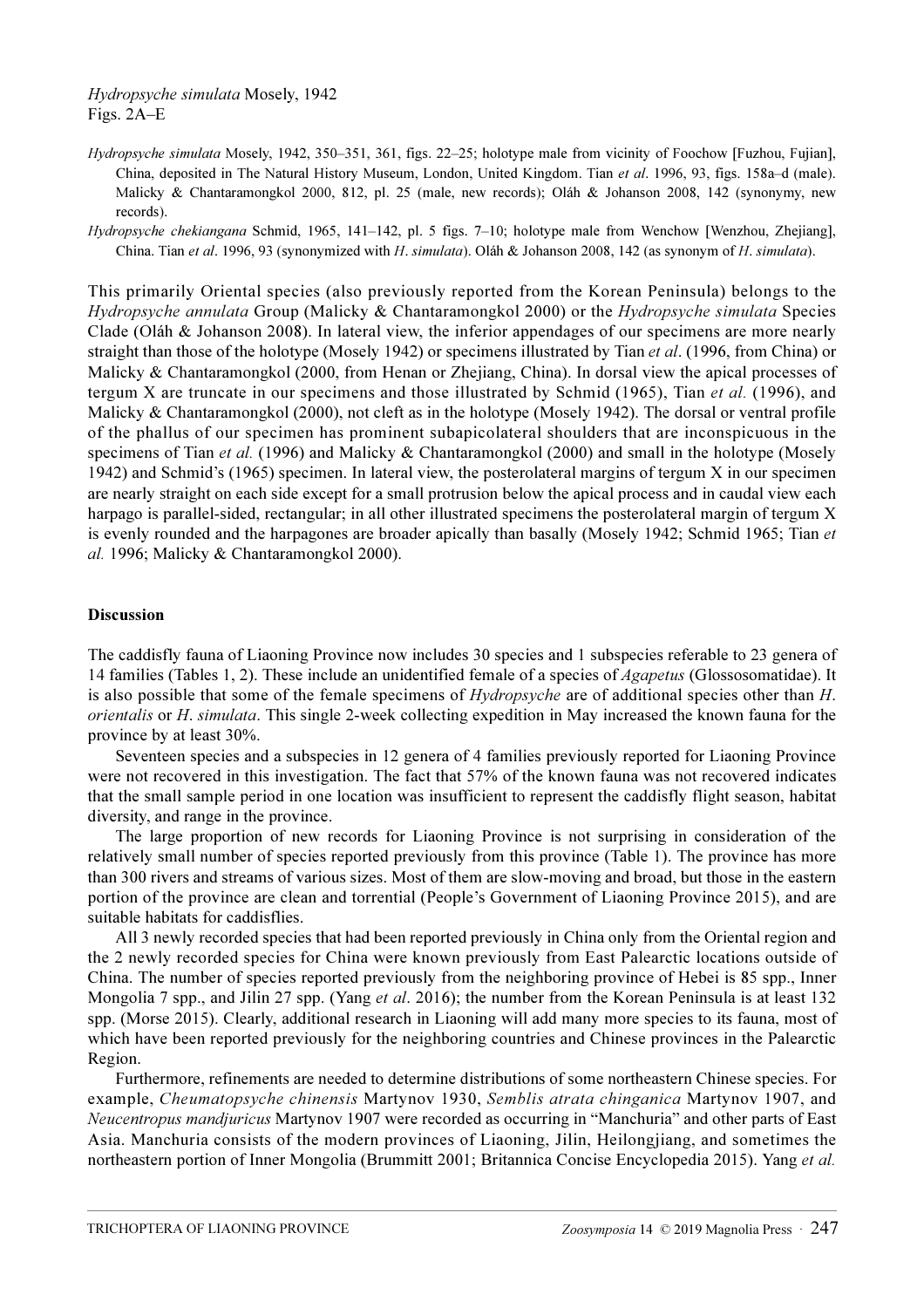Hydropsyche simulata Mosely, 1942, 350–351, 361, figs. 22–25; holotype male from vicinity of Foochow [Fuzhou, Fujian], China, deposited in The Natural History Museum, London, United Kingdom. Tian et al. 1996, 93, figs. 158a–d (male). Malicky & Chantaramongkol 2000, 812, pl. 25 (male, new records); Oláh & Johanson 2008, 142 (synonymy, new records).

Hydropsyche chekiangana Schmid, 1965, 141-142, pl. 5 figs. 7-10; holotype male from Wenchow [Wenzhou, Zhejiang], China. Tian et al. 1996, 93 (synonymized with H. simulata). Oláh & Johanson 2008, 142 (as synonym of H. simulata).

This primarily Oriental species (also previously reported from the Korean Peninsula) belongs to the Hydropsyche annulata Group (Malicky & Chantaramongkol 2000) or the Hydropsyche simulata Species Clade (Oláh & Johanson 2008). In lateral view, the inferior appendages of our specimens are more nearly straight than those of the holotype (Mosely 1942) or specimens illustrated by Tian *et al.* (1996, from China) or Malicky & Chantaramongkol (2000, from Henan or Zhejiang, China). In dorsal view the apical processes of tergum X are truncate in our specimens and those illustrated by Schmid (1965), Tian *et al.* (1996), and Malicky & Chantaramongkol (2000), not cleft as in the holotype (Mosely 1942). The dorsal or ventral profile of the phallus of our specimen has prominent subapicolateral shoulders that are inconspicuous in the specimens of Tian *et al.* (1996) and Malicky & Chantaramongkol (2000) and small in the holotype (Mosely 1942) and Schmid's (1965) specimen. In lateral view, the posterolateral margins of tergum X in our specimen are nearly straight on each side except for a small protrusion below the apical process and in caudal view each harpago is parallel-sided, rectangular; in all other illustrated specimens the posterolateral margin of tergum X is evenly rounded and the harpagones are broader apically than basally (Mosely 1942; Schmid 1965; Tian et al. 1996; Malicky & Chantaramongkol 2000).

### Discussion

The caddisfly fauna of Liaoning Province now includes 30 species and 1 subspecies referable to 23 genera of 14 families (Tables 1, 2). These include an unidentified female of a species of *Agapetus* (Glossosomatidae). It is also possible that some of the female specimens of Hydropsyche are of additional species other than H. orientalis or H. simulata. This single 2-week collecting expedition in May increased the known fauna for the province by at least 30%.

Seventeen species and a subspecies in 12 genera of 4 families previously reported for Liaoning Province were not recovered in this investigation. The fact that 57% of the known fauna was not recovered indicates that the small sample period in one location was insufficient to represent the caddisfly flight season, habitat diversity, and range in the province.

The large proportion of new records for Liaoning Province is not surprising in consideration of the relatively small number of species reported previously from this province (Table 1). The province has more than 300 rivers and streams of various sizes. Most of them are slow-moving and broad, but those in the eastern portion of the province are clean and torrential (People's Government of Liaoning Province 2015), and are suitable habitats for caddisflies.

All 3 newly recorded species that had been reported previously in China only from the Oriental region and the 2 newly recorded species for China were known previously from East Palearctic locations outside of China. The number of species reported previously from the neighboring province of Hebei is 85 spp., Inner Mongolia 7 spp., and Jilin 27 spp. (Yang *et al.* 2016); the number from the Korean Peninsula is at least 132 spp. (Morse 2015). Clearly, additional research in Liaoning will add many more species to its fauna, most of which have been reported previously for the neighboring countries and Chinese provinces in the Palearctic Region.

Furthermore, refinements are needed to determine distributions of some northeastern Chinese species. For example, Cheumatopsyche chinensis Martynov 1930, Semblis atrata chinganica Martynov 1907, and Neucentropus mandjuricus Martynov 1907 were recorded as occurring in "Manchuria" and other parts of East Asia. Manchuria consists of the modern provinces of Liaoning, Jilin, Heilongjiang, and sometimes the northeastern portion of Inner Mongolia (Brummitt 2001; Britannica Concise Encyclopedia 2015). Yang et al.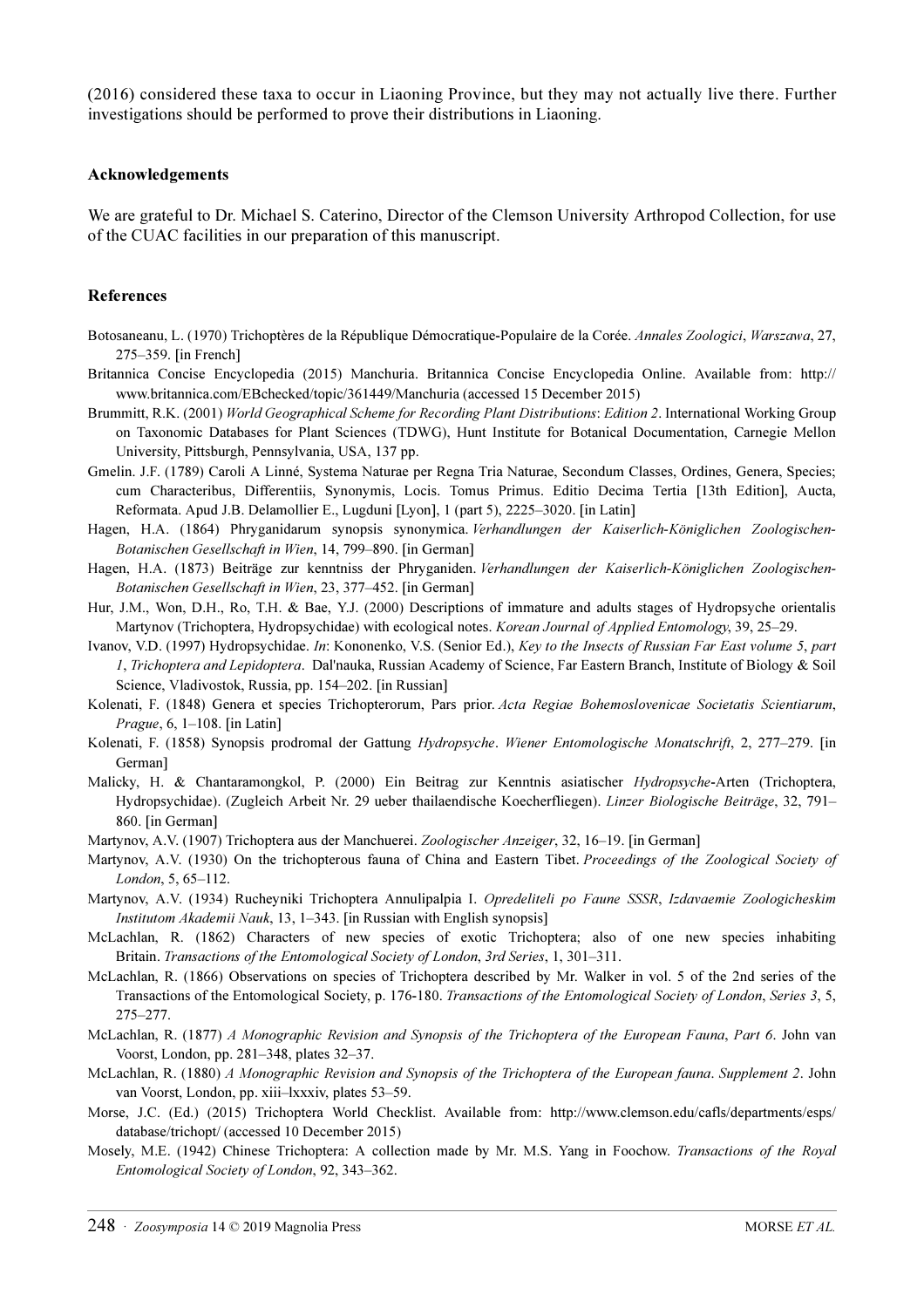(2016) considered these taxa to occur in Liaoning Province, but they may not actually live there. Further investigations should be performed to prove their distributions in Liaoning.

#### Acknowledgements

We are grateful to Dr. Michael S. Caterino, Director of the Clemson University Arthropod Collection, for use of the CUAC facilities in our preparation of this manuscript.

#### References

- Botosaneanu, L. (1970) Trichoptères de la République Démocratique-Populaire de la Corée. Annales Zoologici, Warszawa, 27, 275–359. [in French]
- Britannica Concise Encyclopedia (2015) Manchuria. Britannica Concise Encyclopedia Online. Available from: [http://](http://www.britannica.com/EBchecked/topic/361449/Manchuria) [www.britannica.com/EBchecked/topic/361449/Manchuria](http://www.britannica.com/EBchecked/topic/361449/Manchuria) (accessed 15 December 2015)
- Brummitt, R.K. (2001) World Geographical Scheme for Recording Plant Distributions: Edition 2. International Working Group on Taxonomic Databases for Plant Sciences (TDWG), Hunt Institute for Botanical Documentation, Carnegie Mellon University, Pittsburgh, Pennsylvania, USA, 137 pp.
- Gmelin. J.F. (1789) Caroli A Linné, Systema Naturae per Regna Tria Naturae, Secondum Classes, Ordines, Genera, Species; cum Characteribus, Differentiis, Synonymis, Locis. Tomus Primus. Editio Decima Tertia [13th Edition], Aucta, Reformata. Apud J.B. Delamollier E., Lugduni [Lyon], 1 (part 5), 2225–3020. [in Latin]
- Hagen, H.A. (1864) Phryganidarum synopsis synonymica. Verhandlungen der Kaiserlich-Königlichen Zoologischen-Botanischen Gesellschaft in Wien, 14, 799–890. [in German]
- Hagen, H.A. (1873) Beiträge zur kenntniss der Phryganiden. Verhandlungen der Kaiserlich-Königlichen Zoologischen-Botanischen Gesellschaft in Wien, 23, 377–452. [in German]
- Hur, J.M., Won, D.H., Ro, T.H. & Bae, Y.J. (2000) Descriptions of immature and adults stages of Hydropsyche orientalis Martynov (Trichoptera, Hydropsychidae) with ecological notes. Korean Journal of Applied Entomology, 39, 25–29.
- Ivanov, V.D. (1997) Hydropsychidae. In: Kononenko, V.S. (Senior Ed.), Key to the Insects of Russian Far East volume 5, part 1, Trichoptera and Lepidoptera. Dal'nauka, Russian Academy of Science, Far Eastern Branch, Institute of Biology & Soil Science, Vladivostok, Russia, pp. 154–202. [in Russian]
- Kolenati, F. (1848) Genera et species Trichopterorum, Pars prior. Acta Regiae Bohemoslovenicae Societatis Scientiarum, Prague, 6, 1–108. [in Latin]
- Kolenati, F. (1858) Synopsis prodromal der Gattung Hydropsyche. Wiener Entomologische Monatschrift, 2, 277–279. [in German]
- Malicky, H. & Chantaramongkol, P. (2000) Ein Beitrag zur Kenntnis asiatischer Hydropsyche-Arten (Trichoptera, Hydropsychidae). (Zugleich Arbeit Nr. 29 ueber thailaendische Koecherfliegen). Linzer Biologische Beiträge, 32, 791– 860. [in German]
- Martynov, A.V. (1907) Trichoptera aus der Manchuerei. Zoologischer Anzeiger, 32, 16–19. [in German]
- Martynov, A.V. (1930) On the trichopterous fauna of China and Eastern Tibet. Proceedings of the Zoological Society of London, 5, 65–112.
- Martynov, A.V. (1934) Rucheyniki Trichoptera Annulipalpia I. Opredeliteli po Faune SSSR, Izdavaemie Zoologicheskim Institutom Akademii Nauk, 13, 1–343. [in Russian with English synopsis]
- McLachlan, R. (1862) Characters of new species of exotic Trichoptera; also of one new species inhabiting Britain. Transactions of the Entomological Society of London, 3rd Series, 1, 301–311.
- McLachlan, R. (1866) Observations on species of Trichoptera described by Mr. Walker in vol. 5 of the 2nd series of the Transactions of the Entomological Society, p. 176-180. Transactions of the Entomological Society of London, Series 3, 5, 275–277.
- McLachlan, R. (1877) A Monographic Revision and Synopsis of the Trichoptera of the European Fauna, Part 6. John van Voorst, London, pp. 281–348, plates 32–37.
- McLachlan, R. (1880) A Monographic Revision and Synopsis of the Trichoptera of the European fauna. Supplement 2. John van Voorst, London, pp. xiii–lxxxiv, plates 53–59.
- Morse, J.C. (Ed.) (2015) Trichoptera World Checklist. Available from: [http://www.clemson.edu/cafls/departments/esps/](http://www.clemson.edu/cafls/departments/esps/database/trichopt/) [database/trichopt/](http://www.clemson.edu/cafls/departments/esps/database/trichopt/) (accessed 10 December 2015)
- Mosely, M.E. (1942) Chinese Trichoptera: A collection made by Mr. M.S. Yang in Foochow. Transactions of the Royal Entomological Society of London, 92, 343–362.